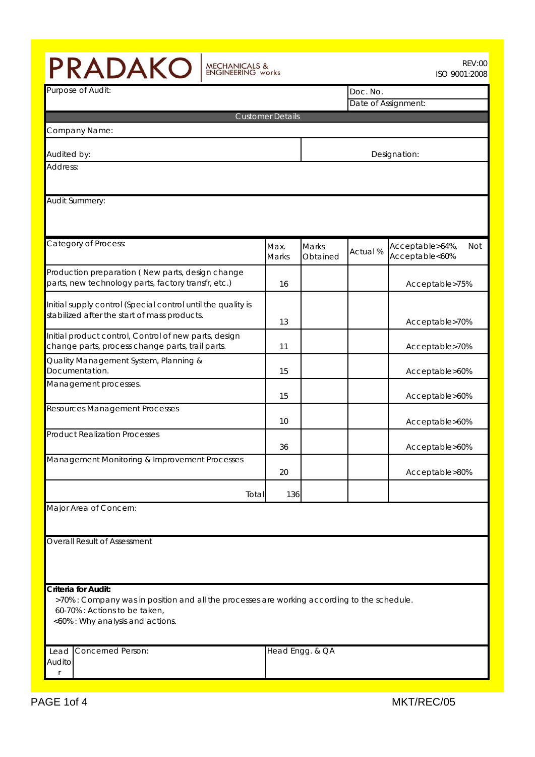| PRADAKO<br><b>REV:00</b><br><b>MECHANICALS &amp;<br/>ENGINEERING works</b><br>ISO 9001:2008                                                                                             |                         |                   |          |                                          |  |  |  |
|-----------------------------------------------------------------------------------------------------------------------------------------------------------------------------------------|-------------------------|-------------------|----------|------------------------------------------|--|--|--|
| Purpose of Audit:                                                                                                                                                                       |                         |                   |          | Doc. No.                                 |  |  |  |
|                                                                                                                                                                                         |                         |                   |          | Date of Assignment:                      |  |  |  |
|                                                                                                                                                                                         | <b>Customer Details</b> |                   |          |                                          |  |  |  |
| Company Name:                                                                                                                                                                           |                         |                   |          |                                          |  |  |  |
| Audited by:                                                                                                                                                                             |                         |                   |          | Designation:                             |  |  |  |
| Address:                                                                                                                                                                                |                         |                   |          |                                          |  |  |  |
| Audit Summery:                                                                                                                                                                          |                         |                   |          |                                          |  |  |  |
| Category of Process:                                                                                                                                                                    | Max.<br>Marks           | Marks<br>Obtained | Actual % | Acceptable>64%,<br>Not<br>Acceptable<60% |  |  |  |
| Production preparation (New parts, design change<br>parts, new technology parts, factory transfr, etc.)                                                                                 | 16                      |                   |          | Acceptable>75%                           |  |  |  |
| Initial supply control (Special control until the quality is<br>stabilized after the start of mass products.                                                                            | 13                      |                   |          | Acceptable>70%                           |  |  |  |
| Initial product control, Control of new parts, design<br>change parts, process change parts, trail parts.                                                                               | 11                      |                   |          | Acceptable>70%                           |  |  |  |
| Quality Management System, Planning &<br>Documentation.                                                                                                                                 | 15                      |                   |          | Acceptable>60%                           |  |  |  |
| Management processes.                                                                                                                                                                   | 15                      |                   |          | Acceptable>60%                           |  |  |  |
| <b>Resources Management Processes</b><br><b>Product Realization Processes</b>                                                                                                           | 10                      |                   |          | Acceptable>60%                           |  |  |  |
|                                                                                                                                                                                         | 36                      |                   |          | Acceptable>60%                           |  |  |  |
| Management Monitoring & Improvement Processes                                                                                                                                           | 20                      |                   |          | Acceptable>80%                           |  |  |  |
| Total                                                                                                                                                                                   | 136                     |                   |          |                                          |  |  |  |
| Major Area of Concern:                                                                                                                                                                  |                         |                   |          |                                          |  |  |  |
| <b>Overall Result of Assessment</b>                                                                                                                                                     |                         |                   |          |                                          |  |  |  |
| Criteria for Audit:<br>>70% : Company was in position and all the processes are working according to the schedule.<br>60-70% : Actions to be taken,<br><60% : Why analysis and actions. |                         |                   |          |                                          |  |  |  |
| <b>Concerned Person:</b><br>Lead<br>Audito                                                                                                                                              |                         | Head Engg. & QA   |          |                                          |  |  |  |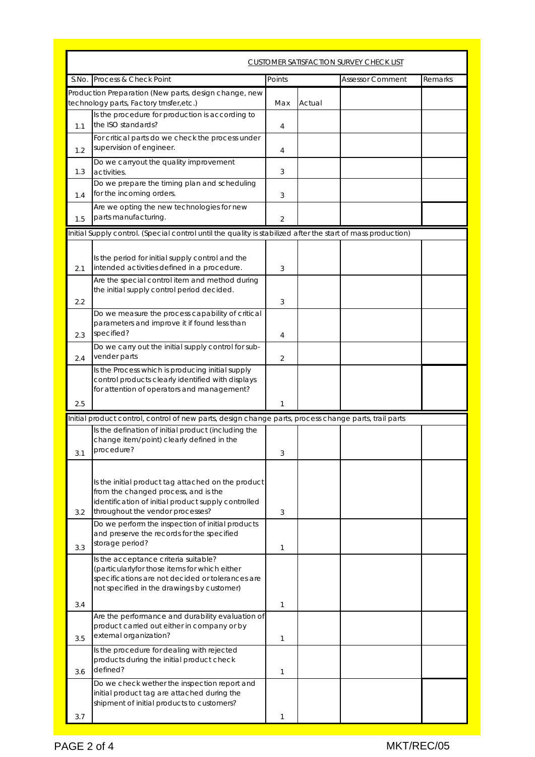|     | <b>CUSTOMER SATISFACTION SURVEY CHECK LIST</b>                                                                                                                                          |              |        |                         |         |  |
|-----|-----------------------------------------------------------------------------------------------------------------------------------------------------------------------------------------|--------------|--------|-------------------------|---------|--|
|     | S.No. Process & Check Point                                                                                                                                                             | Points       |        | <b>Assessor Comment</b> | Remarks |  |
|     | Production Preparation (New parts, design change, new<br>technology parts, Factory trnsfer, etc.)                                                                                       | Max          | Actual |                         |         |  |
| 1.1 | Is the procedure for production is according to<br>the ISO standards?                                                                                                                   | 4            |        |                         |         |  |
| 1.2 | For critical parts do we check the process under<br>supervision of engineer.                                                                                                            | 4            |        |                         |         |  |
| 1.3 | Do we carryout the quality improvement<br>activities.                                                                                                                                   | 3            |        |                         |         |  |
| 1.4 | Do we prepare the timing plan and scheduling<br>for the incoming orders.                                                                                                                | 3            |        |                         |         |  |
| 1.5 | Are we opting the new technologies for new<br>parts manufacturing.                                                                                                                      | 2            |        |                         |         |  |
|     | Initial Supply control. (Special control until the quality is stabilized after the start of mass production)                                                                            |              |        |                         |         |  |
| 2.1 | Is the period for initial supply control and the<br>intended activities defined in a procedure.                                                                                         | 3            |        |                         |         |  |
| 2.2 | Are the special control item and method during<br>the initial supply control period decided.                                                                                            | 3            |        |                         |         |  |
| 2.3 | Do we measure the process capability of critical<br>parameters and improve it if found less than<br>specified?                                                                          | 4            |        |                         |         |  |
| 2.4 | Do we carry out the initial supply control for sub-<br>vender parts                                                                                                                     | 2            |        |                         |         |  |
|     | Is the Process which is producing initial supply<br>control products clearly identified with displays<br>for attention of operators and management?                                     |              |        |                         |         |  |
| 2.5 |                                                                                                                                                                                         | $\mathbf{1}$ |        |                         |         |  |
|     | Initial product control, control of new parts, design change parts, process change parts, trail parts                                                                                   |              |        |                         |         |  |
| 3.1 | Is the defination of initial product (including the<br>change item/point) clearly defined in the<br>procedure?                                                                          | 3            |        |                         |         |  |
| 3.2 | Is the initial product tag attached on the product<br>from the changed process, and is the<br>identification of initial product supply controlled<br>throughout the vendor processes?   | 3            |        |                         |         |  |
| 3.3 | Do we perform the inspection of initial products<br>and preserve the records for the specified<br>storage period?                                                                       | 1            |        |                         |         |  |
|     | Is the acceptance criteria suitable?<br>(particularlyfor those items for which either<br>specifications are not decided or tolerances are<br>not specified in the drawings by customer) |              |        |                         |         |  |
| 3.4 |                                                                                                                                                                                         | 1            |        |                         |         |  |
| 3.5 | Are the performance and durability evaluation of<br>product carried out either in company or by<br>external organization?                                                               | 1            |        |                         |         |  |
| 3.6 | Is the procedure for dealing with rejected<br>products during the initial product check<br>defined?                                                                                     | 1            |        |                         |         |  |
|     | Do we check wether the inspection report and<br>initial product tag are attached during the<br>shipment of initial products to customers?                                               |              |        |                         |         |  |
| 3.7 |                                                                                                                                                                                         |              |        |                         |         |  |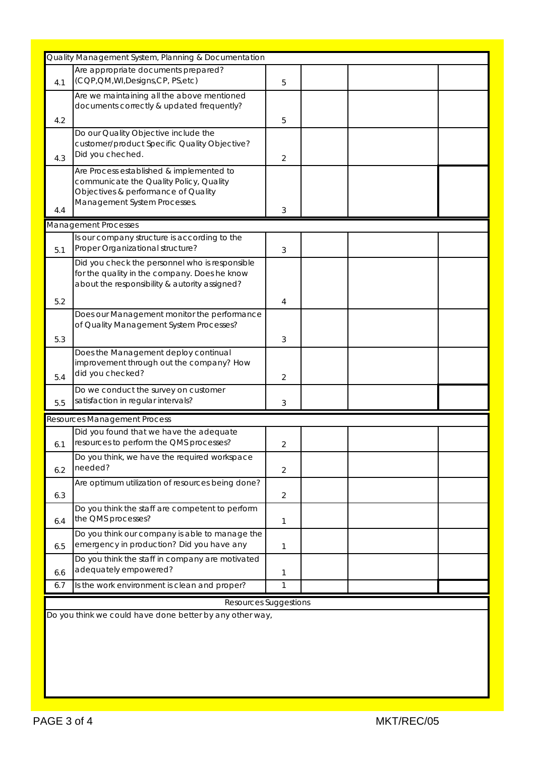|                                                          | Quality Management System, Planning & Documentation |   |  |  |  |  |  |
|----------------------------------------------------------|-----------------------------------------------------|---|--|--|--|--|--|
|                                                          |                                                     |   |  |  |  |  |  |
|                                                          | Are appropriate documents prepared?                 |   |  |  |  |  |  |
| 4.1                                                      | (CQP, QM, WI, Designs, CP, PS, etc)                 | 5 |  |  |  |  |  |
|                                                          | Are we maintaining all the above mentioned          |   |  |  |  |  |  |
|                                                          | documents correctly & updated frequently?           |   |  |  |  |  |  |
|                                                          |                                                     |   |  |  |  |  |  |
| 4.2                                                      |                                                     | 5 |  |  |  |  |  |
|                                                          | Do our Quality Objective include the                |   |  |  |  |  |  |
|                                                          | customer/product Specific Quality Objective?        |   |  |  |  |  |  |
| 4.3                                                      | Did you cheched.                                    | 2 |  |  |  |  |  |
|                                                          |                                                     |   |  |  |  |  |  |
|                                                          | Are Process established & implemented to            |   |  |  |  |  |  |
|                                                          | communicate the Quality Policy, Quality             |   |  |  |  |  |  |
|                                                          | Objectives & performance of Quality                 |   |  |  |  |  |  |
| 4.4                                                      | Management System Processes.                        | 3 |  |  |  |  |  |
|                                                          |                                                     |   |  |  |  |  |  |
|                                                          | Management Processes                                |   |  |  |  |  |  |
|                                                          | Is our company structure is according to the        |   |  |  |  |  |  |
| 5.1                                                      | Proper Organizational structure?                    | 3 |  |  |  |  |  |
|                                                          |                                                     |   |  |  |  |  |  |
|                                                          | Did you check the personnel who is responsible      |   |  |  |  |  |  |
|                                                          | for the quality in the company. Does he know        |   |  |  |  |  |  |
|                                                          | about the responsibility & autority assigned?       |   |  |  |  |  |  |
| 5.2                                                      |                                                     | 4 |  |  |  |  |  |
|                                                          |                                                     |   |  |  |  |  |  |
|                                                          | Does our Management monitor the performance         |   |  |  |  |  |  |
|                                                          | of Quality Management System Processes?             |   |  |  |  |  |  |
| 5.3                                                      |                                                     | 3 |  |  |  |  |  |
|                                                          | Does the Management deploy continual                |   |  |  |  |  |  |
|                                                          |                                                     |   |  |  |  |  |  |
|                                                          | improvement through out the company? How            |   |  |  |  |  |  |
| 5.4                                                      | did you checked?                                    | 2 |  |  |  |  |  |
|                                                          | Do we conduct the survey on customer                |   |  |  |  |  |  |
| 5.5                                                      | satisfaction in regular intervals?                  | 3 |  |  |  |  |  |
|                                                          |                                                     |   |  |  |  |  |  |
|                                                          | Resources Management Process                        |   |  |  |  |  |  |
|                                                          | Did you found that we have the adequate             |   |  |  |  |  |  |
|                                                          | resources to perform the QMS processes?             |   |  |  |  |  |  |
| 6.1                                                      |                                                     | 2 |  |  |  |  |  |
|                                                          | Do you think, we have the required workspace        |   |  |  |  |  |  |
| 6.2                                                      | needed?                                             | 2 |  |  |  |  |  |
|                                                          | Are optimum utilization of resources being done?    |   |  |  |  |  |  |
|                                                          |                                                     |   |  |  |  |  |  |
| 6.3                                                      |                                                     | 2 |  |  |  |  |  |
|                                                          | Do you think the staff are competent to perform     |   |  |  |  |  |  |
| 6.4                                                      | the QMS processes?                                  | 1 |  |  |  |  |  |
|                                                          | Do you think our company is able to manage the      |   |  |  |  |  |  |
|                                                          | emergency in production? Did you have any           |   |  |  |  |  |  |
| 6.5                                                      |                                                     | 1 |  |  |  |  |  |
|                                                          | Do you think the staff in company are motivated     |   |  |  |  |  |  |
| 6.6                                                      | adequately empowered?                               | 1 |  |  |  |  |  |
|                                                          |                                                     |   |  |  |  |  |  |
| 6.7                                                      | Is the work environment is clean and proper?        | 1 |  |  |  |  |  |
| Resources Suggestions                                    |                                                     |   |  |  |  |  |  |
|                                                          |                                                     |   |  |  |  |  |  |
| Do you think we could have done better by any other way, |                                                     |   |  |  |  |  |  |